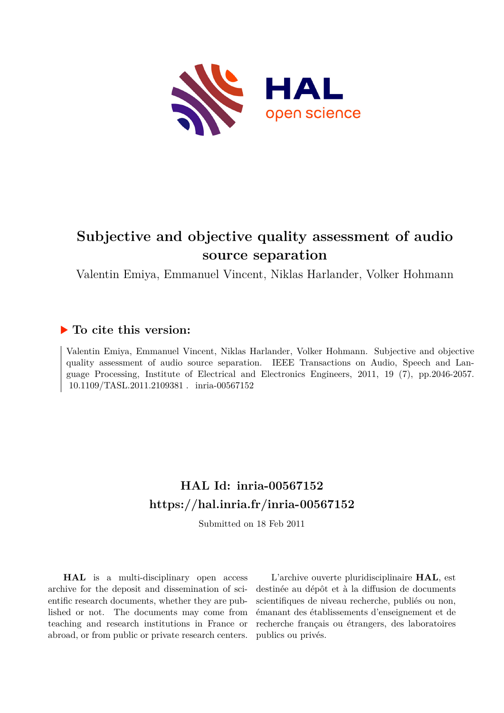

## **Subjective and objective quality assessment of audio source separation**

Valentin Emiya, Emmanuel Vincent, Niklas Harlander, Volker Hohmann

### **To cite this version:**

Valentin Emiya, Emmanuel Vincent, Niklas Harlander, Volker Hohmann. Subjective and objective quality assessment of audio source separation. IEEE Transactions on Audio, Speech and Language Processing, Institute of Electrical and Electronics Engineers, 2011, 19 (7), pp.2046-2057. 10.1109/TASL.2011.2109381 . inria-00567152

## **HAL Id: inria-00567152 <https://hal.inria.fr/inria-00567152>**

Submitted on 18 Feb 2011

**HAL** is a multi-disciplinary open access archive for the deposit and dissemination of scientific research documents, whether they are published or not. The documents may come from teaching and research institutions in France or abroad, or from public or private research centers.

L'archive ouverte pluridisciplinaire **HAL**, est destinée au dépôt et à la diffusion de documents scientifiques de niveau recherche, publiés ou non, émanant des établissements d'enseignement et de recherche français ou étrangers, des laboratoires publics ou privés.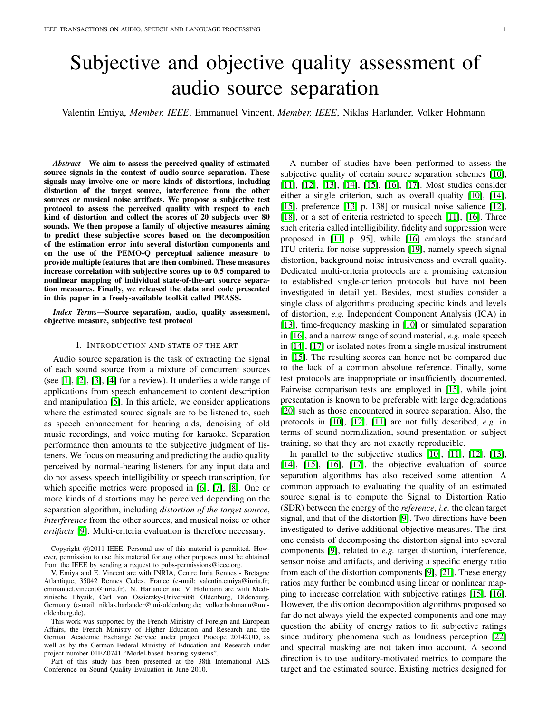# Subjective and objective quality assessment of audio source separation

Valentin Emiya, *Member, IEEE*, Emmanuel Vincent, *Member, IEEE*, Niklas Harlander, Volker Hohmann

*Abstract***—We aim to assess the perceived quality of estimated source signals in the context of audio source separation. These signals may involve one or more kinds of distortions, including distortion of the target source, interference from the other sources or musical noise artifacts. We propose a subjective test protocol to assess the perceived quality with respect to each kind of distortion and collect the scores of 20 subjects over 80 sounds. We then propose a family of objective measures aiming to predict these subjective scores based on the decomposition of the estimation error into several distortion components and on the use of the PEMO-Q perceptual salience measure to provide multiple features that are then combined. These measures increase correlation with subjective scores up to 0.5 compared to nonlinear mapping of individual state-of-the-art source separation measures. Finally, we released the data and code presented in this paper in a freely-available toolkit called PEASS.**

*Index Terms***—Source separation, audio, quality assessment, objective measure, subjective test protocol**

#### I. INTRODUCTION AND STATE OF THE ART

Audio source separation is the task of extracting the signal of each sound source from a mixture of concurrent sources (see [\[1\]](#page-11-0), [\[2\]](#page-11-1), [\[3\]](#page-11-2), [\[4\]](#page-11-3) for a review). It underlies a wide range of applications from speech enhancement to content description and manipulation [\[5\]](#page-11-4). In this article, we consider applications where the estimated source signals are to be listened to, such as speech enhancement for hearing aids, denoising of old music recordings, and voice muting for karaoke. Separation performance then amounts to the subjective judgment of listeners. We focus on measuring and predicting the audio quality perceived by normal-hearing listeners for any input data and do not assess speech intelligibility or speech transcription, for which specific metrics were proposed in [\[6\]](#page-11-5), [\[7\]](#page-11-6), [\[8\]](#page-11-7). One or more kinds of distortions may be perceived depending on the separation algorithm, including *distortion of the target source*, *interference* from the other sources, and musical noise or other *artifacts* [\[9\]](#page-11-8). Multi-criteria evaluation is therefore necessary.

Copyright ©2011 IEEE. Personal use of this material is permitted. However, permission to use this material for any other purposes must be obtained from the IEEE by sending a request to pubs-permissions@ieee.org.

V. Emiya and E. Vincent are with INRIA, Centre Inria Rennes - Bretagne Atlantique, 35042 Rennes Cedex, France (e-mail: valentin.emiya@inria.fr; emmanuel.vincent@inria.fr). N. Harlander and V. Hohmann are with Medizinische Physik, Carl von Ossietzky-Universität Oldenburg, Oldenburg, Germany (e-mail: niklas.harlander@uni-oldenburg.de; volker.hohmann@unioldenburg.de).

This work was supported by the French Ministry of Foreign and European Affairs, the French Ministry of Higher Education and Research and the German Academic Exchange Service under project Procope 20142UD, as well as by the German Federal Ministry of Education and Research under project number 01EZ0741 "Model-based hearing systems".

Part of this study has been presented at the 38th International AES Conference on Sound Quality Evaluation in June 2010.

A number of studies have been performed to assess the subjective quality of certain source separation schemes [\[10\]](#page-11-9), [\[11\]](#page-11-10), [\[12\]](#page-11-11), [\[13\]](#page-11-12), [\[14\]](#page-11-13), [\[15\]](#page-11-14), [\[16\]](#page-11-15), [\[17\]](#page-11-16). Most studies consider either a single criterion, such as overall quality [\[10\]](#page-11-9), [\[14\]](#page-11-13), [\[15\]](#page-11-14), preference [\[13,](#page-11-12) p. 138] or musical noise salience [\[12\]](#page-11-11), [\[18\]](#page-11-17), or a set of criteria restricted to speech [\[11\]](#page-11-10), [\[16\]](#page-11-15). Three such criteria called intelligibility, fidelity and suppression were proposed in [\[11,](#page-11-10) p. 95], while [\[16\]](#page-11-15) employs the standard ITU criteria for noise suppression [\[19\]](#page-11-18), namely speech signal distortion, background noise intrusiveness and overall quality. Dedicated multi-criteria protocols are a promising extension to established single-criterion protocols but have not been investigated in detail yet. Besides, most studies consider a single class of algorithms producing specific kinds and levels of distortion, *e.g.* Independent Component Analysis (ICA) in [\[13\]](#page-11-12), time-frequency masking in [\[10\]](#page-11-9) or simulated separation in [\[16\]](#page-11-15), and a narrow range of sound material, *e.g.* male speech in [\[14\]](#page-11-13), [\[17\]](#page-11-16) or isolated notes from a single musical instrument in [\[15\]](#page-11-14). The resulting scores can hence not be compared due to the lack of a common absolute reference. Finally, some test protocols are inappropriate or insufficiently documented. Pairwise comparison tests are employed in [\[15\]](#page-11-14), while joint presentation is known to be preferable with large degradations [\[20\]](#page-11-19) such as those encountered in source separation. Also, the protocols in [\[10\]](#page-11-9), [\[12\]](#page-11-11), [\[11\]](#page-11-10) are not fully described, *e.g.* in terms of sound normalization, sound presentation or subject training, so that they are not exactly reproducible.

In parallel to the subjective studies [\[10\]](#page-11-9), [\[11\]](#page-11-10), [\[12\]](#page-11-11), [\[13\]](#page-11-12), [\[14\]](#page-11-13), [\[15\]](#page-11-14), [\[16\]](#page-11-15), [\[17\]](#page-11-16), the objective evaluation of source separation algorithms has also received some attention. A common approach to evaluating the quality of an estimated source signal is to compute the Signal to Distortion Ratio (SDR) between the energy of the *reference*, *i.e.* the clean target signal, and that of the distortion [\[9\]](#page-11-8). Two directions have been investigated to derive additional objective measures. The first one consists of decomposing the distortion signal into several components [\[9\]](#page-11-8), related to *e.g.* target distortion, interference, sensor noise and artifacts, and deriving a specific energy ratio from each of the distortion components [\[9\]](#page-11-8), [\[21\]](#page-11-20). These energy ratios may further be combined using linear or nonlinear mapping to increase correlation with subjective ratings [\[15\]](#page-11-14), [\[16\]](#page-11-15). However, the distortion decomposition algorithms proposed so far do not always yield the expected components and one may question the ability of energy ratios to fit subjective ratings since auditory phenomena such as loudness perception [\[22\]](#page-11-21) and spectral masking are not taken into account. A second direction is to use auditory-motivated metrics to compare the target and the estimated source. Existing metrics designed for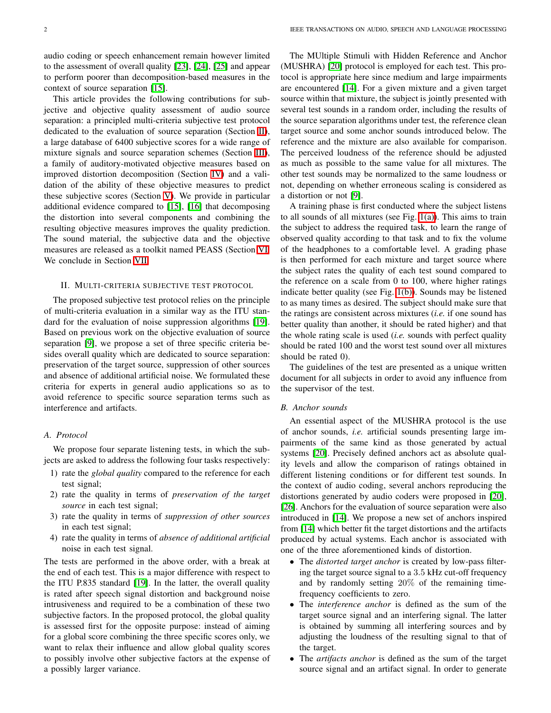audio coding or speech enhancement remain however limited to the assessment of overall quality [\[23\]](#page-11-22), [\[24\]](#page-11-23), [\[25\]](#page-11-24) and appear to perform poorer than decomposition-based measures in the context of source separation [\[15\]](#page-11-14).

This article provides the following contributions for subjective and objective quality assessment of audio source separation: a principled multi-criteria subjective test protocol dedicated to the evaluation of source separation (Section [II\)](#page-2-0), a large database of 6400 subjective scores for a wide range of mixture signals and source separation schemes (Section [III\)](#page-3-0), a family of auditory-motivated objective measures based on improved distortion decomposition (Section [IV\)](#page-4-0) and a validation of the ability of these objective measures to predict these subjective scores (Section [V\)](#page-7-0). We provide in particular additional evidence compared to [\[15\]](#page-11-14), [\[16\]](#page-11-15) that decomposing the distortion into several components and combining the resulting objective measures improves the quality prediction. The sound material, the subjective data and the objective measures are released as a toolkit named PEASS (Section [VI.](#page-10-0) We conclude in Section [VII.](#page-10-1)

#### II. MULTI-CRITERIA SUBJECTIVE TEST PROTOCOL

<span id="page-2-0"></span>The proposed subjective test protocol relies on the principle of multi-criteria evaluation in a similar way as the ITU standard for the evaluation of noise suppression algorithms [\[19\]](#page-11-18). Based on previous work on the objective evaluation of source separation [\[9\]](#page-11-8), we propose a set of three specific criteria besides overall quality which are dedicated to source separation: preservation of the target source, suppression of other sources and absence of additional artificial noise. We formulated these criteria for experts in general audio applications so as to avoid reference to specific source separation terms such as interference and artifacts.

#### *A. Protocol*

We propose four separate listening tests, in which the subjects are asked to address the following four tasks respectively:

- 1) rate the *global quality* compared to the reference for each test signal;
- 2) rate the quality in terms of *preservation of the target source* in each test signal;
- 3) rate the quality in terms of *suppression of other sources* in each test signal;
- 4) rate the quality in terms of *absence of additional artificial* noise in each test signal.

The tests are performed in the above order, with a break at the end of each test. This is a major difference with respect to the ITU P.835 standard [\[19\]](#page-11-18). In the latter, the overall quality is rated after speech signal distortion and background noise intrusiveness and required to be a combination of these two subjective factors. In the proposed protocol, the global quality is assessed first for the opposite purpose: instead of aiming for a global score combining the three specific scores only, we want to relax their influence and allow global quality scores to possibly involve other subjective factors at the expense of a possibly larger variance.

The MUltiple Stimuli with Hidden Reference and Anchor (MUSHRA) [\[20\]](#page-11-19) protocol is employed for each test. This protocol is appropriate here since medium and large impairments are encountered [\[14\]](#page-11-13). For a given mixture and a given target source within that mixture, the subject is jointly presented with several test sounds in a random order, including the results of the source separation algorithms under test, the reference clean target source and some anchor sounds introduced below. The reference and the mixture are also available for comparison. The perceived loudness of the reference should be adjusted as much as possible to the same value for all mixtures. The other test sounds may be normalized to the same loudness or not, depending on whether erroneous scaling is considered as a distortion or not [\[9\]](#page-11-8).

A training phase is first conducted where the subject listens to all sounds of all mixtures (see Fig. [1\(a\)\)](#page-3-1). This aims to train the subject to address the required task, to learn the range of observed quality according to that task and to fix the volume of the headphones to a comfortable level. A grading phase is then performed for each mixture and target source where the subject rates the quality of each test sound compared to the reference on a scale from 0 to 100, where higher ratings indicate better quality (see Fig. [1\(b\)\)](#page-3-2). Sounds may be listened to as many times as desired. The subject should make sure that the ratings are consistent across mixtures (*i.e.* if one sound has better quality than another, it should be rated higher) and that the whole rating scale is used (*i.e.* sounds with perfect quality should be rated 100 and the worst test sound over all mixtures should be rated 0).

The guidelines of the test are presented as a unique written document for all subjects in order to avoid any influence from the supervisor of the test.

#### *B. Anchor sounds*

An essential aspect of the MUSHRA protocol is the use of anchor sounds, *i.e.* artificial sounds presenting large impairments of the same kind as those generated by actual systems [\[20\]](#page-11-19). Precisely defined anchors act as absolute quality levels and allow the comparison of ratings obtained in different listening conditions or for different test sounds. In the context of audio coding, several anchors reproducing the distortions generated by audio coders were proposed in [\[20\]](#page-11-19), [\[26\]](#page-11-25). Anchors for the evaluation of source separation were also introduced in [\[14\]](#page-11-13). We propose a new set of anchors inspired from [\[14\]](#page-11-13) which better fit the target distortions and the artifacts produced by actual systems. Each anchor is associated with one of the three aforementioned kinds of distortion.

- The *distorted target anchor* is created by low-pass filtering the target source signal to a 3.5 kHz cut-off frequency and by randomly setting 20% of the remaining timefrequency coefficients to zero.
- The *interference anchor* is defined as the sum of the target source signal and an interfering signal. The latter is obtained by summing all interfering sources and by adjusting the loudness of the resulting signal to that of the target.
- The *artifacts anchor* is defined as the sum of the target source signal and an artifact signal. In order to generate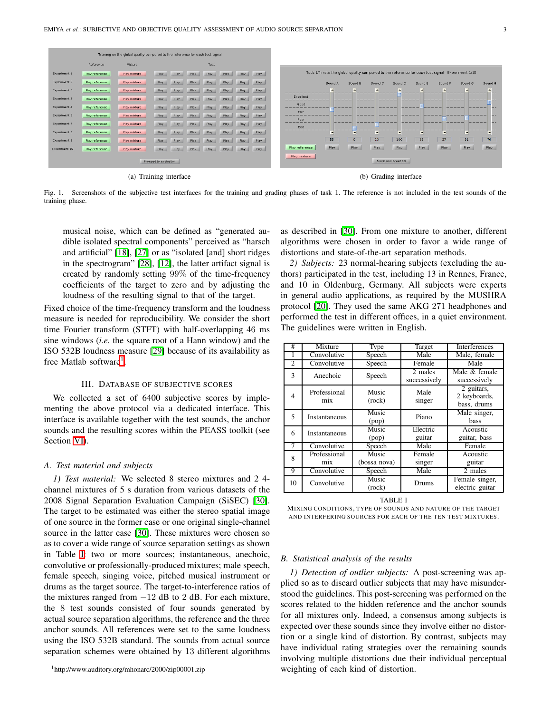<span id="page-3-1"></span>

|                      |                | Training on the global quality compared to the reference for each test signal |                       |      |      |      |      |      |      |
|----------------------|----------------|-------------------------------------------------------------------------------|-----------------------|------|------|------|------|------|------|
|                      | Reference      | Mixture                                                                       |                       |      |      | Test |      |      |      |
| Experiment 1         | Play reference | Play mixture                                                                  | Play                  | Play | Play | Play | Play | Play | Play |
| <b>Experiment 2</b>  | Play reference | Play mixture                                                                  | Play                  | Play | Play | Play | Play | Play | Play |
| <b>Experiment</b> 3  | Play reference | Play mixture                                                                  | Play                  | Play | Play | Play | Play | Play | Play |
| <b>Experiment 4</b>  | Play reference | Play mixture                                                                  | Play                  | Play | Play | Play | Play | Play | Play |
| <b>Experiment 5</b>  | Play reference | Play mixture                                                                  | Play                  | Play | Play | Play | Play | Play | Play |
| Experiment 6         | Play reference | Play mixture                                                                  | Play                  | Play | Play | Play | Play | Play | Play |
| Experiment 7         | Play reference | Play mixture                                                                  | Play                  | Play | Play | Play | Play | Play | Play |
| Experiment 8         | Play reference | Play mixture                                                                  | Play                  | Play | Play | Play | Play | Play | Play |
| <b>Experiment 9</b>  | Play reference | Play mixture                                                                  | Play                  | Play | Play | Play | Play | Play | Play |
| <b>Experiment 10</b> | Play reference | Play mixture                                                                  | Play                  | Play | Play | Play | Play | Play | Play |
|                      |                |                                                                               | Proceed to evaluation |      |      |      |      |      |      |
|                      |                | (a)                                                                           | Training interface    |      |      |      |      |      |      |

Fig. 1. Screenshots of the subjective test interfaces for the training and grading phases of task 1. The reference is not included in the test sounds of the training phase.

musical noise, which can be defined as "generated audible isolated spectral components" perceived as "harsch and artificial" [\[18\]](#page-11-17), [\[27\]](#page-11-26) or as "isolated [and] short ridges in the spectrogram" [\[28\]](#page-11-27), [\[12\]](#page-11-11), the latter artifact signal is created by randomly setting 99% of the time-frequency coefficients of the target to zero and by adjusting the loudness of the resulting signal to that of the target.

Fixed choice of the time-frequency transform and the loudness measure is needed for reproducibility. We consider the short time Fourier transform (STFT) with half-overlapping 46 ms sine windows (*i.e.* the square root of a Hann window) and the ISO 532B loudness measure [\[29\]](#page-11-28) because of its availability as free Matlab software<sup>[1](#page-3-3)</sup>.

#### III. DATABASE OF SUBJECTIVE SCORES

<span id="page-3-0"></span>We collected a set of 6400 subjective scores by implementing the above protocol via a dedicated interface. This interface is available together with the test sounds, the anchor sounds and the resulting scores within the PEASS toolkit (see Section [VI\)](#page-10-0).

#### *A. Test material and subjects*

<span id="page-3-3"></span>*1) Test material:* We selected 8 stereo mixtures and 2 4 channel mixtures of 5 s duration from various datasets of the 2008 Signal Separation Evaluation Campaign (SiSEC) [\[30\]](#page-11-29). The target to be estimated was either the stereo spatial image of one source in the former case or one original single-channel source in the latter case [\[30\]](#page-11-29). These mixtures were chosen so as to cover a wide range of source separation settings as shown in Table [I:](#page-3-4) two or more sources; instantaneous, anechoic, convolutive or professionally-produced mixtures; male speech, female speech, singing voice, pitched musical instrument or drums as the target source. The target-to-interference ratios of the mixtures ranged from  $-12$  dB to 2 dB. For each mixture, the 8 test sounds consisted of four sounds generated by actual source separation algorithms, the reference and the three anchor sounds. All references were set to the same loudness using the ISO 532B standard. The sounds from actual source separation schemes were obtained by 13 different algorithms

<span id="page-3-2"></span>as described in [\[30\]](#page-11-29). From one mixture to another, different algorithms were chosen in order to favor a wide range of distortions and state-of-the-art separation methods.

*2) Subjects:* 23 normal-hearing subjects (excluding the authors) participated in the test, including 13 in Rennes, France, and 10 in Oldenburg, Germany. All subjects were experts in general audio applications, as required by the MUSHRA protocol [\[20\]](#page-11-19). They used the same AKG 271 headphones and performed the test in different offices, in a quiet environment. The guidelines were written in English.

| #              | Mixture             | Type                  | Target                  | <b>Interferences</b>                      |
|----------------|---------------------|-----------------------|-------------------------|-------------------------------------------|
| 1              | Convolutive         | Speech                | Male                    | Male, female                              |
| $\overline{c}$ | Convolutive         | Speech                | Female                  | Male                                      |
| 3              | Anechoic            | Speech                | 2 males<br>successively | Male & female<br>successively             |
| $\overline{4}$ | Professional<br>mix | Music<br>(rock)       | Male<br>singer          | 2 guitars,<br>2 keyboards,<br>bass, drums |
| 5              | Instantaneous       | Music<br>(pop)        | Piano                   | Male singer,<br><b>bass</b>               |
| 6              | Instantaneous       | Music<br>(pop)        | Electric<br>guitar      | Acoustic<br>guitar, bass                  |
| 7              | Convolutive         | Speech                | Male                    | Female                                    |
| 8              | Professional<br>mix | Music<br>(bossa nova) | Female<br>singer        | Acoustic<br>guitar                        |
| 9              | Convolutive         | Speech                | Male                    | 2 males                                   |
| 10             | Convolutive         | Music<br>(root)       | Drums                   | Female singer,<br>electric guitar         |

TABLE I

<span id="page-3-4"></span>MIXING CONDITIONS, TYPE OF SOUNDS AND NATURE OF THE TARGET AND INTERFERING SOURCES FOR EACH OF THE TEN TEST MIXTURES.

#### <span id="page-3-5"></span>*B. Statistical analysis of the results*

*1) Detection of outlier subjects:* A post-screening was applied so as to discard outlier subjects that may have misunderstood the guidelines. This post-screening was performed on the scores related to the hidden reference and the anchor sounds for all mixtures only. Indeed, a consensus among subjects is expected over these sounds since they involve either no distortion or a single kind of distortion. By contrast, subjects may have individual rating strategies over the remaining sounds involving multiple distortions due their individual perceptual weighting of each kind of distortion.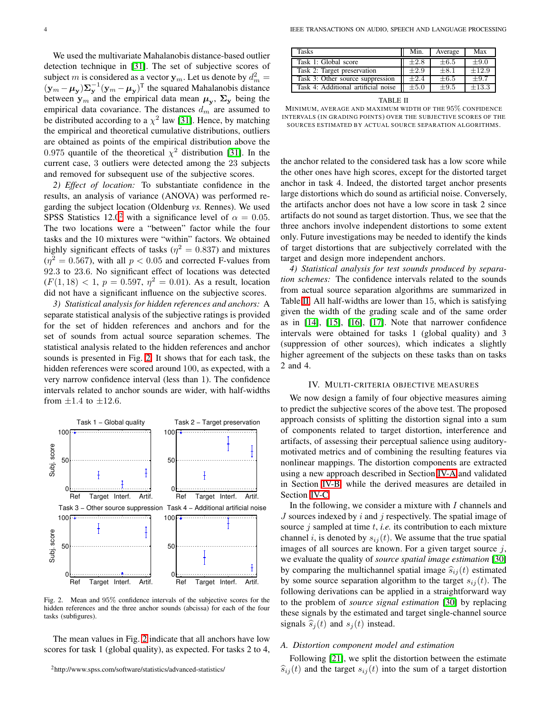We used the multivariate Mahalanobis distance-based outlier detection technique in [\[31\]](#page-11-30). The set of subjective scores of subject m is considered as a vector  $y_m$ . Let us denote by  $d_m^2 =$  $(\mathbf{y}_m - \boldsymbol{\mu}_{\mathbf{y}}) \boldsymbol{\Sigma}_{\mathbf{y}}^{-1} (\mathbf{y}_m - \boldsymbol{\mu}_{\mathbf{y}})^{\mathrm{T}}$  the squared Mahalanobis distance between  $y_m$  and the empirical data mean  $\mu_y$ ,  $\Sigma_y$  being the empirical data covariance. The distances  $d_m$  are assumed to be distributed according to a  $\chi^2$  law [\[31\]](#page-11-30). Hence, by matching the empirical and theoretical cumulative distributions, outliers are obtained as points of the empirical distribution above the 0.975 quantile of the theoretical  $\chi^2$  distribution [\[31\]](#page-11-30). In the current case, 3 outliers were detected among the 23 subjects and removed for subsequent use of the subjective scores.

*2) Effect of location:* To substantiate confidence in the results, an analysis of variance (ANOVA) was performed regarding the subject location (Oldenburg *vs.* Rennes). We used SPSS Statistics 1[2](#page-4-1).0<sup>2</sup> with a significance level of  $\alpha = 0.05$ . The two locations were a "between" factor while the four tasks and the 10 mixtures were "within" factors. We obtained highly significant effects of tasks ( $\eta^2 = 0.837$ ) and mixtures  $(\eta^2 = 0.567)$ , with all  $p < 0.05$  and corrected F-values from 92.3 to 23.6. No significant effect of locations was detected  $(F(1, 18) < 1, p = 0.597, \eta^2 = 0.01)$ . As a result, location did not have a significant influence on the subjective scores.

*3) Statistical analysis for hidden references and anchors:* A separate statistical analysis of the subjective ratings is provided for the set of hidden references and anchors and for the set of sounds from actual source separation schemes. The statistical analysis related to the hidden references and anchor sounds is presented in Fig. [2.](#page-4-2) It shows that for each task, the hidden references were scored around 100, as expected, with a very narrow confidence interval (less than 1). The confidence intervals related to anchor sounds are wider, with half-widths from  $\pm 1.4$  to  $\pm 12.6$ .



<span id="page-4-2"></span>Fig. 2. Mean and 95% confidence intervals of the subjective scores for the hidden references and the three anchor sounds (abcissa) for each of the four tasks (subfigures).

The mean values in Fig. [2](#page-4-2) indicate that all anchors have low scores for task 1 (global quality), as expected. For tasks 2 to 4,

| Tasks                                    | Min.   | Average   | Max       |
|------------------------------------------|--------|-----------|-----------|
| $\overline{\text{Task}}$ 1: Global score | $+2.8$ | $+6.5$    | $\pm 9.0$ |
| Task 2: Target preservation              | $+2.9$ | $+8.1$    | $+12.9$   |
| Task 3: Other source suppression         | $+2.4$ | $\pm 6.5$ | $+9.7$    |
| Task 4: Additional artificial noise      | $+5.0$ | $+9.5$    | $+13.3$   |

TABLE II

<span id="page-4-3"></span>MINIMUM, AVERAGE AND MAXIMUM WIDTH OF THE 95% CONFIDENCE INTERVALS (IN GRADING POINTS) OVER THE SUBJECTIVE SCORES OF THE SOURCES ESTIMATED BY ACTUAL SOURCE SEPARATION ALGORITHMS.

the anchor related to the considered task has a low score while the other ones have high scores, except for the distorted target anchor in task 4. Indeed, the distorted target anchor presents large distortions which do sound as artificial noise. Conversely, the artifacts anchor does not have a low score in task 2 since artifacts do not sound as target distortion. Thus, we see that the three anchors involve independent distortions to some extent only. Future investigations may be needed to identify the kinds of target distortions that are subjectively correlated with the target and design more independent anchors.

*4) Statistical analysis for test sounds produced by separation schemes:* The confidence intervals related to the sounds from actual source separation algorithms are summarized in Table [II.](#page-4-3) All half-widths are lower than 15, which is satisfying given the width of the grading scale and of the same order as in [\[14\]](#page-11-13), [\[15\]](#page-11-14), [\[16\]](#page-11-15), [\[17\]](#page-11-16). Note that narrower confidence intervals were obtained for tasks 1 (global quality) and 3 (suppression of other sources), which indicates a slightly higher agreement of the subjects on these tasks than on tasks 2 and 4.

#### IV. MULTI-CRITERIA OBJECTIVE MEASURES

<span id="page-4-0"></span>We now design a family of four objective measures aiming to predict the subjective scores of the above test. The proposed approach consists of splitting the distortion signal into a sum of components related to target distortion, interference and artifacts, of assessing their perceptual salience using auditorymotivated metrics and of combining the resulting features via nonlinear mappings. The distortion components are extracted using a new approach described in Section [IV-A](#page-4-4) and validated in Section [IV-B,](#page-6-0) while the derived measures are detailed in Section [IV-C.](#page-6-1)

In the following, we consider a mixture with  $I$  channels and  $J$  sources indexed by  $i$  and  $j$  respectively. The spatial image of source  $j$  sampled at time  $t$ , *i.e.* its contribution to each mixture channel i, is denoted by  $s_{ij}(t)$ . We assume that the true spatial images of all sources are known. For a given target source  $j$ , we evaluate the quality of *source spatial image estimation* [\[30\]](#page-11-29) by comparing the multichannel spatial image  $\hat{s}_{ij}(t)$  estimated by some source separation algorithm to the target  $s_{ij}(t)$ . The following derivations can be applied in a straightforward way to the problem of *source signal estimation* [\[30\]](#page-11-29) by replacing these signals by the estimated and target single-channel source signals  $\hat{s}_j(t)$  and  $s_j(t)$  instead.

#### <span id="page-4-4"></span>*A. Distortion component model and estimation*

Following [\[21\]](#page-11-20), we split the distortion between the estimate  $\widehat{s}_{ij}(t)$  and the target  $s_{ij}(t)$  into the sum of a target distortion

<span id="page-4-1"></span><sup>2</sup>http://www.spss.com/software/statistics/advanced-statistics/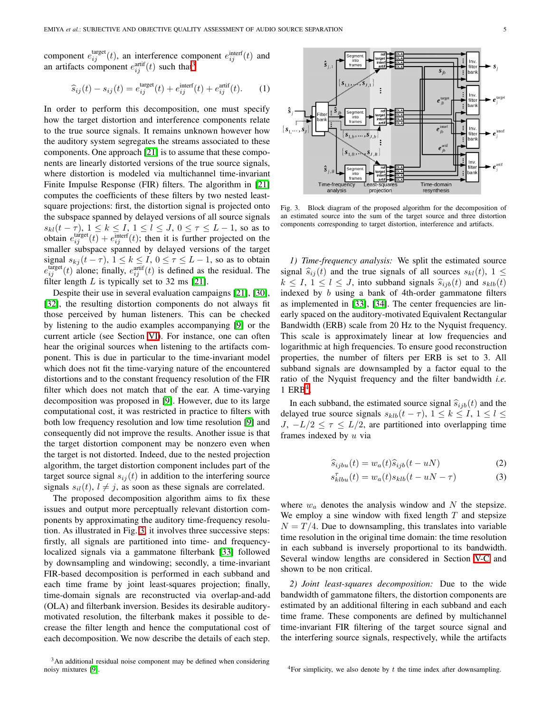component  $e_{ij}^{\text{target}}(t)$ , an interference component  $e_{ij}^{\text{interf}}(t)$  and an artifacts component  $e_{ij}^{\text{artif}}(t)$  such that<sup>[3](#page-5-0)</sup>

$$
\widehat{s}_{ij}(t) - s_{ij}(t) = e_{ij}^{\text{target}}(t) + e_{ij}^{\text{interf}}(t) + e_{ij}^{\text{artif}}(t). \tag{1}
$$

In order to perform this decomposition, one must specify how the target distortion and interference components relate to the true source signals. It remains unknown however how the auditory system segregates the streams associated to these components. One approach [\[21\]](#page-11-20) is to assume that these components are linearly distorted versions of the true source signals, where distortion is modeled via multichannel time-invariant Finite Impulse Response (FIR) filters. The algorithm in [\[21\]](#page-11-20) computes the coefficients of these filters by two nested leastsquare projections: first, the distortion signal is projected onto the subspace spanned by delayed versions of all source signals  $s_{kl}(t - \tau)$ ,  $1 \leq k \leq I$ ,  $1 \leq l \leq J$ ,  $0 \leq \tau \leq L - 1$ , so as to obtain  $e_{ij}^{\text{target}}(t) + e_{ij}^{\text{interf}}(t)$ ; then it is further projected on the smaller subspace spanned by delayed versions of the target signal  $s_{kj}$  ( $t - \tau$ ),  $1 \le k \le I$ ,  $0 \le \tau \le L - 1$ , so as to obtain  $e_{ij}^{\text{target}}(t)$  alone; finally,  $e_{ij}^{\text{artif}}(t)$  is defined as the residual. The filter length  $L$  is typically set to 32 ms [\[21\]](#page-11-20).

Despite their use in several evaluation campaigns [\[21\]](#page-11-20), [\[30\]](#page-11-29), [\[32\]](#page-11-31), the resulting distortion components do not always fit those perceived by human listeners. This can be checked by listening to the audio examples accompanying [\[9\]](#page-11-8) or the current article (see Section [VI\)](#page-10-0). For instance, one can often hear the original sources when listening to the artifacts component. This is due in particular to the time-invariant model which does not fit the time-varying nature of the encountered distortions and to the constant frequency resolution of the FIR filter which does not match that of the ear. A time-varying decomposition was proposed in [\[9\]](#page-11-8). However, due to its large computational cost, it was restricted in practice to filters with both low frequency resolution and low time resolution [\[9\]](#page-11-8) and consequently did not improve the results. Another issue is that the target distortion component may be nonzero even when the target is not distorted. Indeed, due to the nested projection algorithm, the target distortion component includes part of the target source signal  $s_{ij}(t)$  in addition to the interfering source signals  $s_{il}(t)$ ,  $l \neq j$ , as soon as these signals are correlated.

The proposed decomposition algorithm aims to fix these issues and output more perceptually relevant distortion components by approximating the auditory time-frequency resolution. As illustrated in Fig. [3,](#page-5-1) it involves three successive steps: firstly, all signals are partitioned into time- and frequencylocalized signals via a gammatone filterbank [\[33\]](#page-11-32) followed by downsampling and windowing; secondly, a time-invariant FIR-based decomposition is performed in each subband and each time frame by joint least-squares projection; finally, time-domain signals are reconstructed via overlap-and-add (OLA) and filterbank inversion. Besides its desirable auditorymotivated resolution, the filterbank makes it possible to decrease the filter length and hence the computational cost of each decomposition. We now describe the details of each step.

<span id="page-5-0"></span>



<span id="page-5-1"></span>Fig. 3. Block diagram of the proposed algorithm for the decomposition of an estimated source into the sum of the target source and three distortion components corresponding to target distortion, interference and artifacts.

*1) Time-frequency analysis:* We split the estimated source signal  $\hat{s}_{ij}(t)$  and the true signals of all sources  $s_{kl}(t)$ ,  $1 \leq$  $k \leq I$ ,  $1 \leq l \leq J$ , into subband signals  $\hat{s}_{ijb}(t)$  and  $s_{klb}(t)$ indexed by b using a bank of 4th-order gammatone filters as implemented in [\[33\]](#page-11-32), [\[34\]](#page-11-33). The center frequencies are linearly spaced on the auditory-motivated Equivalent Rectangular Bandwidth (ERB) scale from 20 Hz to the Nyquist frequency. This scale is approximately linear at low frequencies and logarithmic at high frequencies. To ensure good reconstruction properties, the number of filters per ERB is set to 3. All subband signals are downsampled by a factor equal to the ratio of the Nyquist frequency and the filter bandwidth *i.e.*  $1$  ERB<sup>[4](#page-5-2)</sup>.

In each subband, the estimated source signal  $\hat{s}_{ijb}(t)$  and the delayed true source signals  $s_{klb}(t - \tau)$ ,  $1 \le k \le I$ ,  $1 \le l \le$  $J, -L/2 \leq \tau \leq L/2$ , are partitioned into overlapping time frames indexed by  $u$  via

$$
\widehat{s}_{ijbu}(t) = w_a(t)\widehat{s}_{ijb}(t - uN)
$$
\n(2)

$$
s_{klbu}^{\tau}(t) = w_a(t)s_{klb}(t - uN - \tau)
$$
\n(3)

where  $w_a$  denotes the analysis window and N the stepsize. We employ a sine window with fixed length  $T$  and stepsize  $N = T/4$ . Due to downsampling, this translates into variable time resolution in the original time domain: the time resolution in each subband is inversely proportional to its bandwidth. Several window lengths are considered in Section [V-C](#page-8-0) and shown to be non critical.

*2) Joint least-squares decomposition:* Due to the wide bandwidth of gammatone filters, the distortion components are estimated by an additional filtering in each subband and each time frame. These components are defined by multichannel time-invariant FIR filtering of the target source signal and the interfering source signals, respectively, while the artifacts

<span id="page-5-2"></span><sup>&</sup>lt;sup>4</sup>For simplicity, we also denote by  $t$  the time index after downsampling.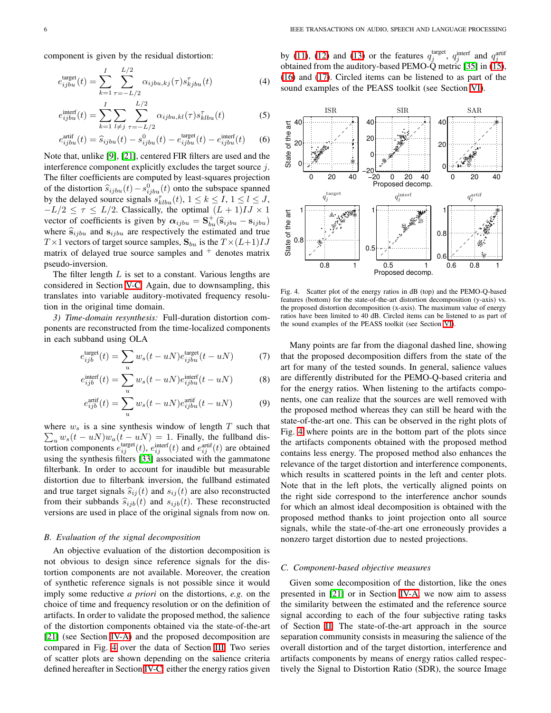component is given by the residual distortion:

$$
e_{ijbu}^{\text{target}}(t) = \sum_{k=1}^{I} \sum_{\tau=-L/2}^{L/2} \alpha_{ijbu,kj}(\tau) s_{kjbu}^{\tau}(t)
$$
 (4)

$$
e_{ijbu}^{\text{interf}}(t) = \sum_{k=1}^{I} \sum_{l \neq j} \sum_{\tau=-L/2}^{L/2} \alpha_{ijbu,kl}(\tau) s_{klbu}^{\tau}(t)
$$
 (5)

$$
e_{ijbu}^{\text{antif}}(t) = \hat{s}_{ijbu}(t) - s_{ijbu}^0(t) - e_{ijbu}^{\text{target}}(t) - e_{ijbu}^{\text{interf}}(t) \tag{6}
$$

Note that, unlike [\[9\]](#page-11-8), [\[21\]](#page-11-20), centered FIR filters are used and the interference component explicitly excludes the target source j. The filter coefficients are computed by least-squares projection of the distortion  $\hat{s}_{ijbu}(t) - s_{ijbu}^0(t)$  onto the subspace spanned by the delayed source signals  $s_{klbu}^{\tau}(t)$ ,  $1 \le k \le I$ ,  $1 \le l \le J$ ,  $-L/2 \leq \tau \leq L/2$ . Classically, the optimal  $(L + 1)IJ \times 1$ vector of coefficients is given by  $\alpha_{ijbu} = \mathbf{S}_{bu}^{+}(\hat{\mathbf{s}}_{ijbu} - \mathbf{s}_{ijbu})$ where  $\hat{s}_{ijbu}$  and  $s_{ijbu}$  are respectively the estimated and true  $T \times 1$  vectors of target source samples,  $S_{bu}$  is the  $T \times (L+1)IJ$ matrix of delayed true source samples and  $+$  denotes matrix pseudo-inversion.

The filter length  $L$  is set to a constant. Various lengths are considered in Section [V-C.](#page-8-0) Again, due to downsampling, this translates into variable auditory-motivated frequency resolution in the original time domain.

*3) Time-domain resynthesis:* Full-duration distortion components are reconstructed from the time-localized components in each subband using OLA

$$
e_{ijb}^{\text{target}}(t) = \sum_{u} w_s(t - uN)e_{ijbu}^{\text{target}}(t - uN)
$$
 (7)

$$
e_{ijb}^{\text{interf}}(t) = \sum_{u} w_s(t - uN)e_{ijbu}^{\text{interf}}(t - uN)
$$
 (8)

$$
e_{ijb}^{\text{artif}}(t) = \sum_{u} w_s(t - uN)e_{ijbu}^{\text{artif}}(t - uN)
$$
 (9)

 $\sum_{u} w_s(t - uN)w_a(t - uN) = 1$ . Finally, the fullband diswhere  $w_s$  is a sine synthesis window of length T such that tortion components  $\hat{e}_{ij}^{\text{target}}(t)$ ,  $\hat{e}_{ij}^{\text{interf}}(t)$  and  $\hat{e}_{ij}^{\text{artif}}(t)$  are obtained using the synthesis filters [\[33\]](#page-11-32) associated with the gammatone filterbank. In order to account for inaudible but measurable distortion due to filterbank inversion, the fullband estimated and true target signals  $\hat{s}_{ij}(t)$  and  $s_{ij}(t)$  are also reconstructed from their subbands  $\hat{s}_{ijb}(t)$  and  $s_{ijb}(t)$ . These reconstructed versions are used in place of the original signals from now on.

#### <span id="page-6-0"></span>*B. Evaluation of the signal decomposition*

An objective evaluation of the distortion decomposition is not obvious to design since reference signals for the distortion components are not available. Moreover, the creation of synthetic reference signals is not possible since it would imply some reductive *a priori* on the distortions, *e.g.* on the choice of time and frequency resolution or on the definition of artifacts. In order to validate the proposed method, the salience of the distortion components obtained via the state-of-the-art [\[21\]](#page-11-20) (see Section [IV-A\)](#page-4-4) and the proposed decomposition are compared in Fig. [4](#page-6-2) over the data of Section [III.](#page-3-0) Two series of scatter plots are shown depending on the salience criteria defined hereafter in Section [IV-C:](#page-6-1) either the energy ratios given

by [\(11\)](#page-7-1), [\(12\)](#page-7-2) and [\(13\)](#page-7-3) or the features  $q_i^{\text{target}}$ target,  $q_j^{\text{interf}}$  and  $q_j^{\text{artif}}$ obtained from the auditory-based PEMO-Q metric [\[35\]](#page-11-34) in [\(15\)](#page-7-4), [\(16\)](#page-7-5) and [\(17\)](#page-7-6). Circled items can be listened to as part of the sound examples of the PEASS toolkit (see Section [VI\)](#page-10-0).



<span id="page-6-2"></span>Fig. 4. Scatter plot of the energy ratios in dB (top) and the PEMO-Q-based features (bottom) for the state-of-the-art distortion decomposition (y-axis) vs. the proposed distortion decomposition (x-axis). The maximum value of energy ratios have been limited to 40 dB. Circled items can be listened to as part of the sound examples of the PEASS toolkit (see Section [VI\)](#page-10-0).

Many points are far from the diagonal dashed line, showing that the proposed decomposition differs from the state of the art for many of the tested sounds. In general, salience values are differently distributed for the PEMO-Q-based criteria and for the energy ratios. When listening to the artifacts components, one can realize that the sources are well removed with the proposed method whereas they can still be heard with the state-of-the-art one. This can be observed in the right plots of Fig. [4](#page-6-2) where points are in the bottom part of the plots since the artifacts components obtained with the proposed method contains less energy. The proposed method also enhances the relevance of the target distortion and interference components, which results in scattered points in the left and center plots. Note that in the left plots, the vertically aligned points on the right side correspond to the interference anchor sounds for which an almost ideal decomposition is obtained with the proposed method thanks to joint projection onto all source signals, while the state-of-the-art one erroneously provides a nonzero target distortion due to nested projections.

#### <span id="page-6-1"></span>*C. Component-based objective measures*

Given some decomposition of the distortion, like the ones presented in [\[21\]](#page-11-20) or in Section [IV-A,](#page-4-4) we now aim to assess the similarity between the estimated and the reference source signal according to each of the four subjective rating tasks of Section [II.](#page-2-0) The state-of-the-art approach in the source separation community consists in measuring the salience of the overall distortion and of the target distortion, interference and artifacts components by means of energy ratios called respectively the Signal to Distortion Ratio (SDR), the source Image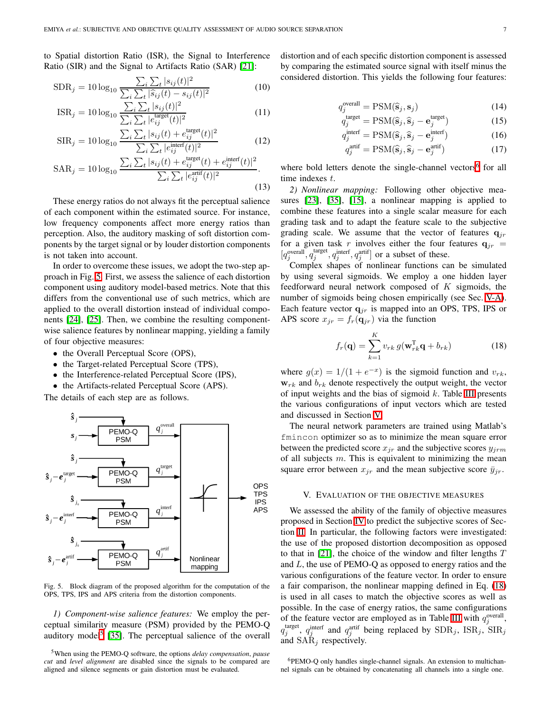to Spatial distortion Ratio (ISR), the Signal to Interference Ratio (SIR) and the Signal to Artifacts Ratio (SAR) [\[21\]](#page-11-20):

$$
SDR_j = 10 \log_{10} \frac{\sum_{i} \sum_{t} |s_{ij}(t)|^2}{\sum_{i} \sum_{t} |\widehat{s}_{ij}(t) - s_{ij}(t)|^2}
$$
(10)

$$
ISR_j = 10 \log_{10} \frac{\sum_{i} \sum_{t} |s_{ij}(t)|^2}{\sum_{i} \sum_{t} |e_{ij}^{\text{target}}(t)|^2}
$$
(11)

$$
SIR_{j} = 10 \log_{10} \frac{\sum_{i} \sum_{t} |s_{ij}(t) + e_{ij}^{\text{target}}(t)|^{2}}{\sum_{i} \sum_{t} |e_{ij}^{\text{interf}}(t)|^{2}}
$$
(12)

$$
SAR_j = 10 \log_{10} \frac{\sum_{i} \sum_{t} |s_{ij}(t) + e_{ij}^{\text{target}}(t) + e_{ij}^{\text{interf}}(t)|^2}{\sum_{i} \sum_{t} |e_{ij}^{\text{arif}}(t)|^2}.
$$
\n(13)

These energy ratios do not always fit the perceptual salience of each component within the estimated source. For instance, low frequency components affect more energy ratios than perception. Also, the auditory masking of soft distortion components by the target signal or by louder distortion components is not taken into account.

In order to overcome these issues, we adopt the two-step approach in Fig. [5.](#page-7-7) First, we assess the salience of each distortion component using auditory model-based metrics. Note that this differs from the conventional use of such metrics, which are applied to the overall distortion instead of individual components [\[24\]](#page-11-23), [\[25\]](#page-11-24). Then, we combine the resulting componentwise salience features by nonlinear mapping, yielding a family of four objective measures:

- the Overall Perceptual Score (OPS),
- the Target-related Perceptual Score (TPS),
- the Interference-related Perceptual Score (IPS),
- the Artifacts-related Perceptual Score (APS).

The details of each step are as follows.



<span id="page-7-7"></span>Fig. 5. Block diagram of the proposed algorithm for the computation of the OPS, TPS, IPS and APS criteria from the distortion components.

*1) Component-wise salience features:* We employ the perceptual similarity measure (PSM) provided by the PEMO-Q auditory model<sup>[5](#page-7-8)</sup> [\[35\]](#page-11-34). The perceptual salience of the overall

<span id="page-7-8"></span><sup>5</sup>When using the PEMO-Q software, the options *delay compensation*, *pause cut* and *level alignment* are disabled since the signals to be compared are aligned and silence segments or gain distortion must be evaluated.

<span id="page-7-1"></span>distortion and of each specific distortion component is assessed by comparing the estimated source signal with itself minus the considered distortion. This yields the following four features:

$$
q_j^{\text{overall}} = \text{PSM}(\hat{\mathbf{s}}_j, \mathbf{s}_j) \tag{14}
$$

<span id="page-7-4"></span>
$$
q_j^{\text{target}} = \text{PSM}(\hat{\mathbf{s}}_j, \hat{\mathbf{s}}_j - \mathbf{e}_j^{\text{target}})
$$
 (15)

$$
q_j^{\text{interf}} = \text{PSM}(\hat{\mathbf{s}}_j, \hat{\mathbf{s}}_j - \mathbf{e}_j^{\text{interf}})
$$
 (16)

<span id="page-7-6"></span><span id="page-7-5"></span>
$$
q_j^{\text{artif}} = \text{PSM}(\hat{\mathbf{s}}_j, \hat{\mathbf{s}}_j - \mathbf{e}_j^{\text{artif}})
$$
(17)

<span id="page-7-2"></span>where bold letters denote the single-channel vectors<sup>[6](#page-7-9)</sup> for all time indexes  $t$ .

<span id="page-7-3"></span>*2) Nonlinear mapping:* Following other objective measures [\[23\]](#page-11-22), [\[35\]](#page-11-34), [\[15\]](#page-11-14), a nonlinear mapping is applied to combine these features into a single scalar measure for each grading task and to adapt the feature scale to the subjective grading scale. We assume that the vector of features  $q_{ir}$ for a given task r involves either the four features  $q_{ir}$  =  $[q_j^{\text{overall}}, q_j^{\text{target}}]$  $j_j^{\text{target}}, q_j^{\text{antf}}$  or a subset of these.

Complex shapes of nonlinear functions can be simulated by using several sigmoids. We employ a one hidden layer feedforward neural network composed of  $K$  sigmoids, the number of sigmoids being chosen empirically (see Sec. [V-A\)](#page-8-1). Each feature vector  $q_{ir}$  is mapped into an OPS, TPS, IPS or APS score  $x_{jr} = f_r(\mathbf{q}_{jr})$  via the function

$$
f_r(\mathbf{q}) = \sum_{k=1}^{K} v_{rk} g(\mathbf{w}_{rk}^{\mathrm{T}} \mathbf{q} + b_{rk})
$$
 (18)

<span id="page-7-10"></span>where  $g(x) = 1/(1 + e^{-x})$  is the sigmoid function and  $v_{rk}$ ,  $\mathbf{w}_{rk}$  and  $b_{rk}$  denote respectively the output weight, the vector of input weights and the bias of sigmoid  $k$ . Table [III](#page-8-2) presents the various configurations of input vectors which are tested and discussed in Section [V.](#page-7-0)

The neural network parameters are trained using Matlab's fmincon optimizer so as to minimize the mean square error between the predicted score  $x_{jr}$  and the subjective scores  $y_{jrm}$ of all subjects  $m$ . This is equivalent to minimizing the mean square error between  $x_{ir}$  and the mean subjective score  $\bar{y}_{ir}$ .

#### V. EVALUATION OF THE OBJECTIVE MEASURES

<span id="page-7-0"></span>We assessed the ability of the family of objective measures proposed in Section [IV](#page-4-0) to predict the subjective scores of Section [II.](#page-2-0) In particular, the following factors were investigated: the use of the proposed distortion decomposition as opposed to that in [\[21\]](#page-11-20), the choice of the window and filter lengths  $T$ and  $L$ , the use of PEMO-Q as opposed to energy ratios and the various configurations of the feature vector. In order to ensure a fair comparison, the nonlinear mapping defined in Eq. [\(18\)](#page-7-10) is used in all cases to match the objective scores as well as possible. In the case of energy ratios, the same configurations of the feature vector are employed as in Table [III](#page-8-2) with  $q_j^{\text{overall}}$ ,  $q_i^{\text{target}}$ target,  $q_j^{\text{interf}}$  and  $q_j^{\text{artif}}$  being replaced by  $SDR_j$ ,  $ISR_j$ ,  $SIR_j$ and  $SAR_i$  respectively.

<span id="page-7-9"></span><sup>6</sup>PEMO-O only handles single-channel signals. An extension to multichannel signals can be obtained by concatenating all channels into a single one.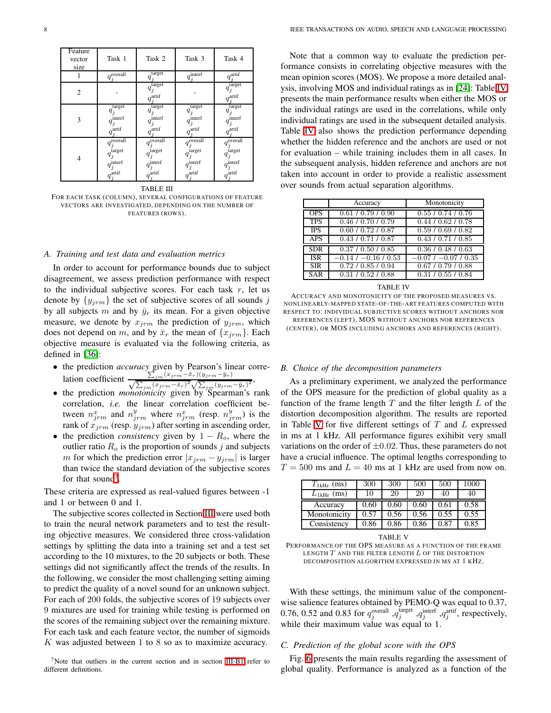| Feature<br>vector<br>size | Task 1                                                                                       | Task 2                                                                  | Task 3                                                                                           | Task 4                                                                              |
|---------------------------|----------------------------------------------------------------------------------------------|-------------------------------------------------------------------------|--------------------------------------------------------------------------------------------------|-------------------------------------------------------------------------------------|
|                           | $q_{\scriptscriptstyle 5}^{\rm overall}$                                                     | target                                                                  | $q_i^{\text{interf}}$                                                                            | $q_{\scriptscriptstyle 4}^{\rm artif}$                                              |
| 2                         |                                                                                              | target<br>$q_i$<br>$q^{\rm artif}$                                      |                                                                                                  | target<br>$q_{j}$<br>$q^{\rm artif}$                                                |
| 3                         | target<br>a<br>$q_j^{\text{interf}}$<br>$\boldsymbol{q}^{\text{artif}}$                      | target<br>$q_j^{\rm interf}$<br>$q_z^{\rm artif}$                       | target<br>α<br>$q_j^{\text{interf}}$<br>$q_z^{\rm artif}$                                        | target<br>π<br>$q_{j}^{\rm interf}$<br>$q_{\scriptscriptstyle \vec{z}}^{\rm artif}$ |
| 4                         | $q_c^{\text{overall}}$<br>target<br>a<br>$q_j^{\text{interf}}$<br>$q_{\emph{i}}^{\rm artif}$ | overall<br>target<br>$q_{j}^{\rm interf}$<br>$q_{\emph{j}}^{\rm artif}$ | $q^{\text{overall}}$<br>target<br>q<br>$q_{\emph{i}}^{\rm interf}$<br>$q_{\emph{i}}^{\rm artif}$ | $a^{\text{overall}}$<br>target<br>$q^{\text{interf}}$<br>$q_{j}^{\mathrm{artif}}$   |

TABLE III

<span id="page-8-2"></span>FOR EACH TASK (COLUMN), SEVERAL CONFIGURATIONS OF FEATURE VECTORS ARE INVESTIGATED, DEPENDING ON THE NUMBER OF FEATURES (ROWS).

#### <span id="page-8-1"></span>*A. Training and test data and evaluation metrics*

In order to account for performance bounds due to subject disagreement, we assess prediction performance with respect to the individual subjective scores. For each task  $r$ , let us denote by  $\{y_{jrm}\}$  the set of subjective scores of all sounds j by all subjects m and by  $\bar{y}_r$  its mean. For a given objective measure, we denote by  $x_{irm}$  the prediction of  $y_{irm}$ , which does not depend on m, and by  $\bar{x}_r$  the mean of  $\{x_{jrm}\}$ . Each objective measure is evaluated via the following criteria, as defined in [\[36\]](#page-11-35):

- the prediction *accuracy* given by Pearson's linear correlation coefficient  $\frac{\sum_{jm}(x_{jrm}-\bar{x}_{r})(y_{jrm}-\bar{y}_{r})}{\sqrt{\sum_{jm}(x_{jrm}-\bar{x}_{r})^{2}}\sqrt{\sum_{jm}(y_{jrm}-\bar{y}_{r})^{2}}},$
- the prediction *monotonicity* given by Spearman's rank correlation, *i.e.* the linear correlation coefficient between  $n_{jrm}^x$  and  $n_{jrm}^y$  where  $n_{jrm}^x$  (resp.  $n_{jrm}^y$ ) is the rank of  $x_{jrm}$  (resp.  $y_{jrm}$ ) after sorting in ascending order,
- the prediction *consistency* given by  $1 R_o$ , where the outlier ratio  $R_o$  is the proportion of sounds j and subjects m for which the prediction error  $|x_{irm} - y_{irm}|$  is larger than twice the standard deviation of the subjective scores for that sound<sup>[7](#page-8-3)</sup>.

These criteria are expressed as real-valued figures between -1 and 1 or between 0 and 1.

The subjective scores collected in Section [III](#page-3-0) were used both to train the neural network parameters and to test the resulting objective measures. We considered three cross-validation settings by splitting the data into a training set and a test set according to the 10 mixtures, to the 20 subjects or both. These settings did not significantly affect the trends of the results. In the following, we consider the most challenging setting aiming to predict the quality of a novel sound for an unknown subject. For each of 200 folds, the subjective scores of 19 subjects over 9 mixtures are used for training while testing is performed on the scores of the remaining subject over the remaining mixture. For each task and each feature vector, the number of sigmoids  $K$  was adjusted between 1 to 8 so as to maximize accuracy.

Note that a common way to evaluate the prediction performance consists in correlating objective measures with the mean opinion scores (MOS). We propose a more detailed analysis, involving MOS and individual ratings as in [\[24\]](#page-11-23): Table [IV](#page-8-4) presents the main performance results when either the MOS or the individual ratings are used in the correlations, while only individual ratings are used in the subsequent detailed analysis. Table [IV](#page-8-4) also shows the prediction performance depending whether the hidden reference and the anchors are used or not for evaluation – while training includes them in all cases. In the subsequent analysis, hidden reference and anchors are not taken into account in order to provide a realistic assessment over sounds from actual separation algorithms.

|                         | Accuracy             | Monotonicity         |
|-------------------------|----------------------|----------------------|
| <b>OPS</b>              | 0.61 / 0.79 / 0.90   | 0.55 / 0.74 / 0.76   |
| <b>TPS</b>              | 0.46 / 0.70 / 0.79   | 0.44/0.62/0.78       |
| <b>TPS</b>              | 0.60 / 0.72 / 0.87   | 0.59/0.69/0.82       |
| <b>APS</b>              | 0.43/0.71/0.87       | 0.43 / 0.71 / 0.85   |
| $\overline{\text{SDR}}$ | 0.37/0.50/0.85       | 0.36 / 0.48 / 0.63   |
| <b>ISR</b>              | $-0.14/ -0.16/ 0.53$ | $-0.07/ -0.07/ 0.35$ |
| $\overline{\text{SIR}}$ | 0.72/0.85/0.94       | 0.67/0.79/0.88       |
| <b>SAR</b>              | 0.31 / 0.52 / 0.88   | 0.31 / 0.55 / 0.84   |
|                         |                      |                      |

TABLE IV

<span id="page-8-4"></span>ACCURACY AND MONOTONICITY OF THE PROPOSED MEASURES VS. NONLINEARLY-MAPPED STATE-OF-THE-ART FEATURES COMPUTED WITH RESPECT TO: INDIVIDUAL SUBJECTIVE SCORES WITHOUT ANCHORS NOR REFERENCES (LEFT), MOS WITHOUT ANCHORS NOR REFERENCES

(CENTER), OR MOS INCLUDING ANCHORS AND REFERENCES (RIGHT).

#### *B. Choice of the decomposition parameters*

As a preliminary experiment, we analyzed the performance of the OPS measure for the prediction of global quality as a function of the frame length  $T$  and the filter length  $L$  of the distortion decomposition algorithm. The results are reported in Table [V](#page-8-5) for five different settings of  $T$  and  $L$  expressed in ms at 1 kHz. All performance figures exihibit very small variations on the order of  $\pm 0.02$ . Thus, these parameters do not have a crucial influence. The optimal lengths corresponding to  $T = 500$  ms and  $L = 40$  ms at 1 kHz are used from now on.

| $T_{1\text{kHz}}$ (ms) | 300  | 300  | 500  | 500  | 1000 |
|------------------------|------|------|------|------|------|
| $L_{1\text{kHz}}$ (ms) | 10   | 20   | 20   | 40   | 40   |
| Accuracy               | 0.60 | 0.60 | 0.60 | 0.61 | 0.58 |
| Monotonicity           | 0.57 | 0.56 | 0.56 | 0.55 | 0.55 |
| Consistency            | 0.86 | 0.86 | 0.86 | 0.87 | 0.85 |

TABLE V

<span id="page-8-5"></span>PERFORMANCE OF THE OPS MEASURE AS A FUNCTION OF THE FRAME LENGTH  $T$  and the filter length  $L$  of the distortion DECOMPOSITION ALGORITHM EXPRESSED IN MS AT 1 KHZ.

With these settings, the minimum value of the componentwise salience features obtained by PEMO-Q was equal to 0.37, 0.76, 0.52 and 0.83 for  $q_j^{\text{overall}}$  , $q_j^{\text{target}}$  $j_j^{\text{target}}$  ,  $q_j^{\text{interf}}$  ,  $q_j^{\text{artif}}$ , respectively, while their maximum value was equal to 1.

#### <span id="page-8-0"></span>*C. Prediction of the global score with the OPS*

Fig. [6](#page-9-0) presents the main results regarding the assessment of global quality. Performance is analyzed as a function of the

<span id="page-8-3"></span><sup>&</sup>lt;sup>7</sup>Note that outliers in the current section and in section [III-B1](#page-3-5) refer to different definitions.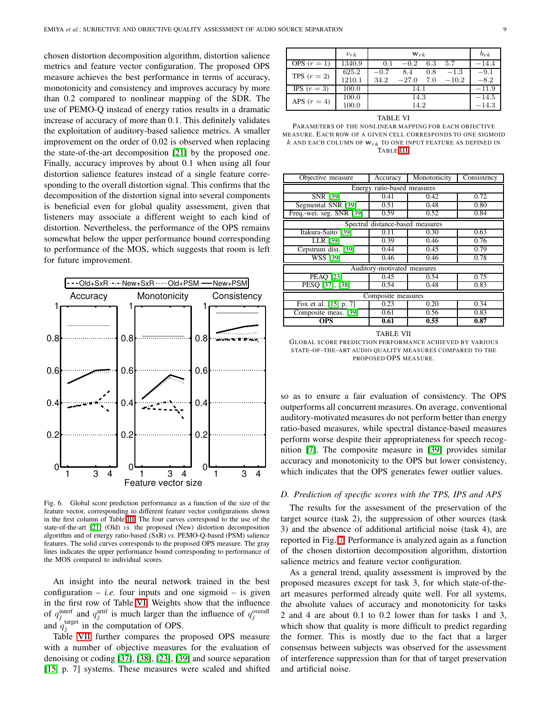chosen distortion decomposition algorithm, distortion salience metrics and feature vector configuration. The proposed OPS measure achieves the best performance in terms of accuracy, monotonicity and consistency and improves accuracy by more than 0.2 compared to nonlinear mapping of the SDR. The use of PEMO-Q instead of energy ratios results in a dramatic increase of accuracy of more than 0.1. This definitely validates the exploitation of auditory-based salience metrics. A smaller improvement on the order of 0.02 is observed when replacing the state-of-the-art decomposition [\[21\]](#page-11-20) by the proposed one. Finally, accuracy improves by about 0.1 when using all four distortion salience features instead of a single feature corresponding to the overall distortion signal. This confirms that the decomposition of the distortion signal into several components is beneficial even for global quality assessment, given that listeners may associate a different weight to each kind of distortion. Nevertheless, the performance of the OPS remains somewhat below the upper performance bound corresponding to performance of the MOS, which suggests that room is left for future improvement.



<span id="page-9-0"></span>Fig. 6. Global score prediction performance as a function of the size of the feature vector, corresponding to different feature vector configurations shown in the first column of Table [III.](#page-8-2) The four curves correspond to the use of the state-of-the-art [\[21\]](#page-11-20) (Old) *vs.* the proposed (New) distortion decomposition algorithm and of energy ratio-based (SxR) *vs.* PEMO-Q-based (PSM) salience features. The solid curves corresponds to the proposed OPS measure. The gray lines indicates the upper performance bound corresponding to performance of the MOS compared to individual scores.

An insight into the neural network trained in the best configuration  $-$  *i.e.* four inputs and one sigmoid  $-$  is given in the first row of Table [VI.](#page-9-1) Weights show that the influence of  $q_j^{\text{inter}}$  and  $q_j^{\text{artif}}$  is much larger than the influence of  $q_j^{\text{overall}}$ and  $q_i^{\text{target}}$  $j_j^{\text{target}}$  in the computation of OPS.

Table [VII](#page-9-2) further compares the proposed OPS measure with a number of objective measures for the evaluation of denoising or coding [\[37\]](#page-11-36), [\[38\]](#page-11-37), [\[23\]](#page-11-22), [\[39\]](#page-11-38) and source separation [\[15,](#page-11-14) p. 7] systems. These measures were scaled and shifted

|             | $v_{rk}$        | $\mathbf{w}_{rk}$                | $b_{rk}$           |                   |                  |
|-------------|-----------------|----------------------------------|--------------------|-------------------|------------------|
| OPS $(r=1)$ | 1340.9          | $-0.2$<br>0.1                    | 6.3                | 5.7               | $-14.4$          |
| TPS $(r=2)$ | 625.2<br>1210.1 | $-0.7$<br>8.4<br>34.2<br>$-27.0$ | 0.8<br>7.0         | $-1.3$<br>$-10.2$ | $-9.1$<br>$-8.2$ |
| IPS $(r=3)$ | 100.0           |                                  | 14.1               |                   | $-11.9$          |
| APS $(r=4)$ | 100.0<br>100.0  | 14.3<br>14.2                     | $-14.5$<br>$-14.3$ |                   |                  |

| <b>TABLE VI</b> |  |
|-----------------|--|
|-----------------|--|

<span id="page-9-1"></span>PARAMETERS OF THE NONLINEAR MAPPING FOR EACH OBJECTIVE MEASURE. EACH ROW OF A GIVEN CELL CORRESPONDS TO ONE S IGMOID  $k$  AND EACH COLUMN OF  $\mathbf{w}_{rk}$  to one input feature as defined in TABLE [III.](#page-8-2)

| Objective measure              | Accuracy                         | Monotonicity | Consistency |  |  |  |  |
|--------------------------------|----------------------------------|--------------|-------------|--|--|--|--|
| Energy ratio-based measures    |                                  |              |             |  |  |  |  |
| <b>SNR [39]</b>                | 0.41                             | 0.42         | 0.72        |  |  |  |  |
| Segmental SNR [39]             | 0.51                             | 0.48         | 0.80        |  |  |  |  |
| Freq.-wei. seg. SNR [39]       | 0.59                             | 0.52         | 0.84        |  |  |  |  |
|                                | Spectral distance-based measures |              |             |  |  |  |  |
| Itakura-Saito [39]             | 0.11                             | 0.30         | 0.63        |  |  |  |  |
| <b>LLR [39]</b>                | 0.39                             | 0.46         | 0.76        |  |  |  |  |
| Cepstrum dist. [39]            | 0.44                             | 0.45         | 0.79        |  |  |  |  |
| <b>WSS [39]</b>                | 0.46                             | 0.46         | 0.78        |  |  |  |  |
| Auditory-motivated measures    |                                  |              |             |  |  |  |  |
| $\overline{\text{PE}}$ AQ [23] | 0.45                             | 0.54         | 0.75        |  |  |  |  |
| PESQ [37], [38]                | 0.54                             | 0.48         | 0.83        |  |  |  |  |
| Composite measures             |                                  |              |             |  |  |  |  |
| Fox et al. [15, p. 7]          | 0.23                             | 0.20         | 0.34        |  |  |  |  |
| Composite meas. [39]           | 0.61                             | 0.56         | 0.83        |  |  |  |  |
| OPS                            | 0.61                             | 0.55         | 0.87        |  |  |  |  |

<span id="page-9-2"></span>TABLE VII GLOBAL SCORE PREDICTION PERFORMANCE ACHIEVED BY VARIOUS STATE-OF-THE-ART AUDIO QUALITY MEASURES COMPARED TO THE PROPOSED OPS MEASURE.

so as to ensure a fair evaluation of consistency. The OPS outperforms all concurrent measures. On average, conventional auditory-motivated measures do not perform better than energy ratio-based measures, while spectral distance-based measures perform worse despite their appropriateness for speech recognition [\[7\]](#page-11-6). The composite measure in [\[39\]](#page-11-38) provides similar accuracy and monotonicity to the OPS but lower consistency, which indicates that the OPS generates fewer outlier values.

#### *D. Prediction of specific scores with the TPS, IPS and APS*

The results for the assessment of the preservation of the target source (task 2), the suppression of other sources (task 3) and the absence of additional artificial noise (task 4), are reported in Fig. [7.](#page-10-2) Performance is analyzed again as a function of the chosen distortion decomposition algorithm, distortion salience metrics and feature vector configuration.

As a general trend, quality assessment is improved by the proposed measures except for task 3, for which state-of-theart measures performed already quite well. For all systems, the absolute values of accuracy and monotonicity for tasks 2 and 4 are about 0.1 to 0.2 lower than for tasks 1 and 3, which show that quality is more difficult to predict regarding the former. This is mostly due to the fact that a larger consensus between subjects was observed for the assessment of interference suppression than for that of target preservation and artificial noise.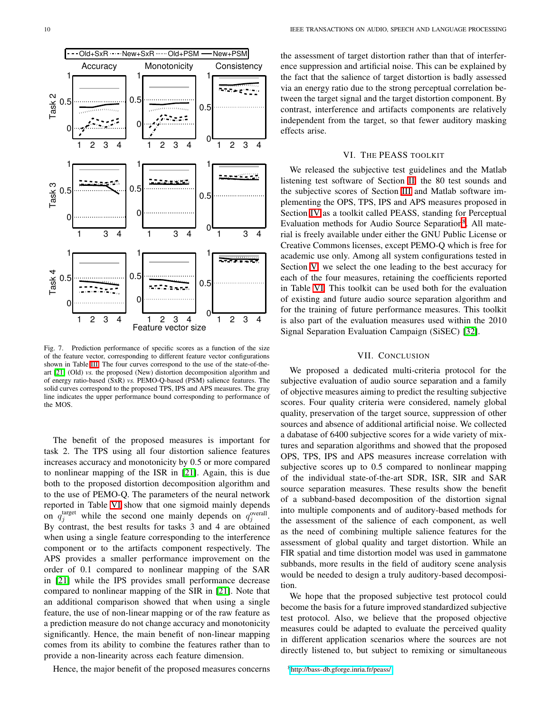

<span id="page-10-2"></span>Fig. 7. Prediction performance of specific scores as a function of the size of the feature vector, corresponding to different feature vector configurations shown in Table [III.](#page-8-2) The four curves correspond to the use of the state-of-theart [\[21\]](#page-11-20) (Old) *vs.* the proposed (New) distortion decomposition algorithm and of energy ratio-based (SxR) *vs.* PEMO-Q-based (PSM) salience features. The solid curves correspond to the proposed TPS, IPS and APS measures. The gray line indicates the upper performance bound corresponding to performance of the MOS.

The benefit of the proposed measures is important for task 2. The TPS using all four distortion salience features increases accuracy and monotonicity by 0.5 or more compared to nonlinear mapping of the ISR in [\[21\]](#page-11-20). Again, this is due both to the proposed distortion decomposition algorithm and to the use of PEMO-Q. The parameters of the neural network reported in Table [VI](#page-9-1) show that one sigmoid mainly depends on  $q_j^{\text{target}}$  while the second one mainly depends on  $q_j^{\text{overall}}$ . By contrast, the best results for tasks 3 and 4 are obtained when using a single feature corresponding to the interference component or to the artifacts component respectively. The APS provides a smaller performance improvement on the order of 0.1 compared to nonlinear mapping of the SAR in [\[21\]](#page-11-20) while the IPS provides small performance decrease compared to nonlinear mapping of the SIR in [\[21\]](#page-11-20). Note that an additional comparison showed that when using a single feature, the use of non-linear mapping or of the raw feature as a prediction measure do not change accuracy and monotonicity significantly. Hence, the main benefit of non-linear mapping comes from its ability to combine the features rather than to provide a non-linearity across each feature dimension.

Hence, the major benefit of the proposed measures concerns

the assessment of target distortion rather than that of interference suppression and artificial noise. This can be explained by the fact that the salience of target distortion is badly assessed via an energy ratio due to the strong perceptual correlation between the target signal and the target distortion component. By contrast, interference and artifacts components are relatively independent from the target, so that fewer auditory masking effects arise.

#### VI. THE PEASS TOOLKIT

<span id="page-10-0"></span>We released the subjective test guidelines and the Matlab listening test software of Section [II,](#page-2-0) the 80 test sounds and the subjective scores of Section [III](#page-3-0) and Matlab software implementing the OPS, TPS, IPS and APS measures proposed in Section [IV](#page-4-0) as a toolkit called PEASS, standing for Perceptual Evaluation methods for Audio Source Separation<sup>[8](#page-10-3)</sup>. All material is freely available under either the GNU Public License or Creative Commons licenses, except PEMO-Q which is free for academic use only. Among all system configurations tested in Section [V,](#page-7-0) we select the one leading to the best accuracy for each of the four measures, retaining the coefficients reported in Table [VI.](#page-9-1) This toolkit can be used both for the evaluation of existing and future audio source separation algorithm and for the training of future performance measures. This toolkit is also part of the evaluation measures used within the 2010 Signal Separation Evaluation Campaign (SiSEC) [\[32\]](#page-11-31).

#### VII. CONCLUSION

<span id="page-10-1"></span>We proposed a dedicated multi-criteria protocol for the subjective evaluation of audio source separation and a family of objective measures aiming to predict the resulting subjective scores. Four quality criteria were considered, namely global quality, preservation of the target source, suppression of other sources and absence of additional artificial noise. We collected a dabatase of 6400 subjective scores for a wide variety of mixtures and separation algorithms and showed that the proposed OPS, TPS, IPS and APS measures increase correlation with subjective scores up to 0.5 compared to nonlinear mapping of the individual state-of-the-art SDR, ISR, SIR and SAR source separation measures. These results show the benefit of a subband-based decomposition of the distortion signal into multiple components and of auditory-based methods for the assessment of the salience of each component, as well as the need of combining multiple salience features for the assessment of global quality and target distortion. While an FIR spatial and time distortion model was used in gammatone subbands, more results in the field of auditory scene analysis would be needed to design a truly auditory-based decomposition.

We hope that the proposed subjective test protocol could become the basis for a future improved standardized subjective test protocol. Also, we believe that the proposed objective measures could be adapted to evaluate the perceived quality in different application scenarios where the sources are not directly listened to, but subject to remixing or simultaneous

<span id="page-10-3"></span><sup>8</sup><http://bass-db.gforge.inria.fr/peass/>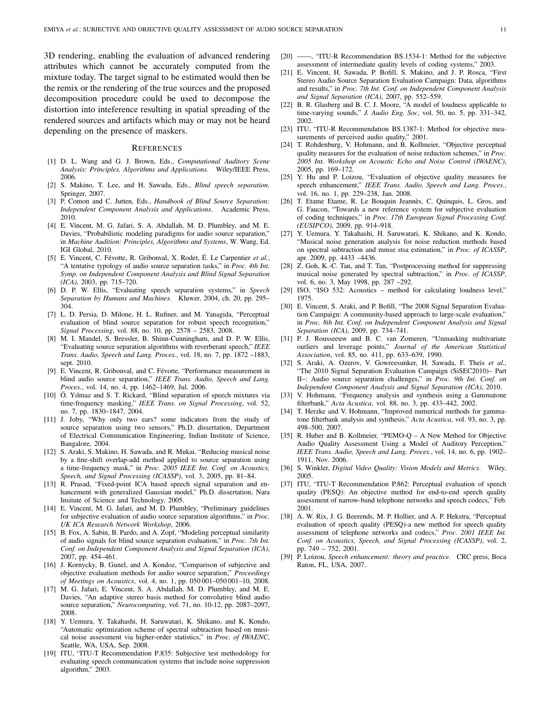3D rendering, enabling the evaluation of advanced rendering attributes which cannot be accurately computed from the mixture today. The target signal to be estimated would then be the remix or the rendering of the true sources and the proposed decomposition procedure could be used to decompose the distortion into inteference resulting in spatial spreading of the rendered sources and artifacts which may or may not be heard depending on the presence of maskers.

#### **REFERENCES**

- <span id="page-11-0"></span>[1] D. L. Wang and G. J. Brown, Eds., *Computational Auditory Scene Analysis: Principles, Algorithms and Applications*. Wiley/IEEE Press, 2006.
- <span id="page-11-2"></span><span id="page-11-1"></span>[2] S. Makino, T. Lee, and H. Sawada, Eds., *Blind speech separation*. Springer, 2007.
- [3] P. Comon and C. Jutten, Eds., *Handbook of Blind Source Separation: Independent Component Analysis and Applications*. Academic Press, 2010.
- <span id="page-11-3"></span>[4] E. Vincent, M. G. Jafari, S. A. Abdallah, M. D. Plumbley, and M. E. Davies, "Probabilistic modeling paradigms for audio source separation," in *Machine Audition: Principles, Algorithms and Systems*, W. Wang, Ed. IGI Global, 2010.
- <span id="page-11-4"></span>[5] E. Vincent, C. Févotte, R. Gribonval, X. Rodet, É. Le Carpentier *et al.*, "A tentative typology of audio source separation tasks," in *Proc. 4th Int. Symp. on Independent Component Analysis and Blind Signal Separation (ICA)*, 2003, pp. 715–720.
- <span id="page-11-5"></span>[6] D. P. W. Ellis, "Evaluating speech separation systems," in *Speech Separation by Humans and Machines*. Kluwer, 2004, ch. 20, pp. 295– 304.
- <span id="page-11-6"></span>[7] L. D. Persia, D. Milone, H. L. Rufiner, and M. Yanagida, "Perceptual evaluation of blind source separation for robust speech recognition," *Signal Processing*, vol. 88, no. 10, pp. 2578 – 2583, 2008.
- <span id="page-11-7"></span>[8] M. I. Mandel, S. Bressler, B. Shinn-Cunningham, and D. P. W. Ellis, "Evaluating source separation algorithms with reverberant speech," *IEEE Trans. Audio, Speech and Lang. Proces.*, vol. 18, no. 7, pp. 1872 –1883, sept. 2010.
- <span id="page-11-8"></span>[9] E. Vincent, R. Gribonval, and C. Févotte, "Performance measurement in blind audio source separation," *IEEE Trans. Audio, Speech and Lang. Proces.*, vol. 14, no. 4, pp. 1462–1469, Jul. 2006.
- <span id="page-11-9"></span>[10] Ö. Yılmaz and S. T. Rickard, "Blind separation of speech mixtures via time-frequency masking," *IEEE Trans. on Signal Processing*, vol. 52, no. 7, pp. 1830–1847, 2004.
- <span id="page-11-10"></span>[11] J. Joby, "Why only two ears? some indicators from the study of source separation using two sensors," Ph.D. dissertation, Department of Electrical Communication Engineering, Indian Institute of Science, Bangalore, 2004.
- <span id="page-11-11"></span>[12] S. Araki, S. Makino, H. Sawada, and R. Mukai, "Reducing musical noise by a fine-shift overlap-add method applied to source separation using a time-frequency mask," in *Proc. 2005 IEEE Int. Conf. on Acoustics, Speech, and Signal Processing (ICASSP)*, vol. 3, 2005, pp. 81–84.
- <span id="page-11-12"></span>[13] R. Prasad, "Fixed-point ICA based speech signal separation and enhancement with generalized Gaussian model," Ph.D. dissertation, Nara Insitute of Science and Technology, 2005.
- <span id="page-11-13"></span>[14] E. Vincent, M. G. Jafari, and M. D. Plumbley, "Preliminary guidelines for subjective evaluation of audio source separation algorithms," in *Proc. UK ICA Research Network Workshop*, 2006.
- <span id="page-11-14"></span>[15] B. Fox, A. Sabin, B. Pardo, and A. Zopf, "Modeling perceptual similarity of audio signals for blind source separation evaluation," in *Proc. 7th Int. Conf. on Independent Component Analysis and Signal Separation (ICA)*, 2007, pp. 454–461.
- <span id="page-11-15"></span>[16] J. Kornycky, B. Gunel, and A. Kondoz, "Comparison of subjective and objective evaluation methods for audio source separation," *Proceedings of Meetings on Acoustics*, vol. 4, no. 1, pp. 050 001–050 001–10, 2008.
- <span id="page-11-16"></span>[17] M. G. Jafari, E. Vincent, S. A. Abdallah, M. D. Plumbley, and M. E. Davies, "An adaptive stereo basis method for convolutive blind audio source separation," *Neurocomputing*, vol. 71, no. 10-12, pp. 2087–2097, 2008.
- <span id="page-11-17"></span>[18] Y. Uemura, Y. Takahashi, H. Saruwatari, K. Shikano, and K. Kondo, "Automatic optimization scheme of spectral subtraction based on musical noise assessment via higher-order statistics," in *Proc. of IWAENC*, Seattle, WA, USA, Sep. 2008.
- <span id="page-11-18"></span>[19] ITU, "ITU-T Recommendation P.835: Subjective test methodology for evaluating speech communication systems that include noise suppression algorithm," 2003.
- <span id="page-11-20"></span><span id="page-11-19"></span>[20] ——, "ITU-R Recommendation BS.1534-1: Method for the subjective assessment of intermediate quality levels of coding systems," 2003.
- [21] E. Vincent, H. Sawada, P. Bofill, S. Makino, and J. P. Rosca, "First Stereo Audio Source Separation Evaluation Campaign: Data, algorithms and results," in *Proc. 7th Int. Conf. on Independent Component Analysis and Signal Separation (ICA)*, 2007, pp. 552–559.
- <span id="page-11-21"></span>[22] B. R. Glasberg and B. C. J. Moore, "A model of loudness applicable to time-varying sounds," *J. Audio Eng. Soc*, vol. 50, no. 5, pp. 331–342, 2002.
- <span id="page-11-22"></span>[23] ITU, "ITU-R Recommendation BS.1387-1: Method for objective measurements of perceived audio quality," 2001.
- <span id="page-11-23"></span>[24] T. Rohdenburg, V. Hohmann, and B. Kollmeier, "Objective perceptual quality measures for the evaluation of noise reduction schemes," in *Proc. 2005 Int. Workshop on Acoustic Echo and Noise Control (IWAENC)*, 2005, pp. 169–172.
- <span id="page-11-24"></span>[25] Y. Hu and P. Loizou, "Evaluation of objective quality measures for speech enhancement," *IEEE Trans. Audio, Speech and Lang. Proces.*, vol. 16, no. 1, pp. 229–238, Jan. 2008.
- <span id="page-11-25"></span>[26] T. Etame Etame, R. Le Bouquin Jeannès, C. Quinquis, L. Gros, and G. Faucon, "Towards a new reference system for subjective evaluation of coding techniques," in *Proc. 17th European Signal Processing Conf. (EUSIPCO)*, 2009, pp. 914–918.
- <span id="page-11-26"></span>[27] Y. Uemura, Y. Takahashi, H. Saruwatari, K. Shikano, and K. Kondo, "Musical noise generation analysis for noise reduction methods based on spectral subtraction and mmse stsa estimation," in *Proc. of ICASSP*, apr. 2009, pp. 4433 –4436.
- <span id="page-11-27"></span>[28] Z. Goh, K.-C. Tan, and T. Tan, "Postprocessing method for suppressing musical noise generated by spectral subtraction," in *Proc. of ICASSP*, vol. 6, no. 3, May 1998, pp. 287 –292.
- <span id="page-11-28"></span>[29] ISO, "ISO 532: Acoustics – method for calculating loudness level," 1975.
- <span id="page-11-29"></span>[30] E. Vincent, S. Araki, and P. Bofill, "The 2008 Signal Separation Evaluation Campaign: A community-based approach to large-scale evaluation," in *Proc. 8th Int. Conf. on Independent Component Analysis and Signal Separation (ICA)*, 2009, pp. 734–741.
- <span id="page-11-30"></span>[31] P. J. Rousseeuw and B. C. van Zomeren, "Unmasking multivariate outliers and leverage points," *Journal of the American Statistical Association*, vol. 85, no. 411, pp. 633–639, 1990.
- <span id="page-11-31"></span>[32] S. Araki, A. Ozerov, V. Gowreesunker, H. Sawada, F. Theis *et al.*, "The 2010 Signal Separation Evaluation Campaign (SiSEC2010)– Part II–: Audio source separation challenges," in *Proc. 9th Int. Conf. on Independent Component Analysis and Signal Separation (ICA)*, 2010.
- <span id="page-11-32"></span>[33] V. Hohmann, "Frequency analysis and synthesis using a Gammatone filterbank," *Acta Acustica*, vol. 88, no. 3, pp. 433–442, 2002.
- <span id="page-11-33"></span>[34] T. Herzke and V. Hohmann, "Improved numerical methods for gammatone filterbank analysis and synthesis," *Acta Acustica*, vol. 93, no. 3, pp. 498–500, 2007.
- <span id="page-11-34"></span>[35] R. Huber and B. Kollmeier, "PEMO-Q – A New Method for Objective Audio Quality Assessment Using a Model of Auditory Perception," *IEEE Trans. Audio, Speech and Lang. Proces.*, vol. 14, no. 6, pp. 1902– 1911, Nov. 2006.
- <span id="page-11-35"></span>[36] S. Winkler, *Digital Video Quality: Vision Models and Metrics*. Wiley, 2005.
- <span id="page-11-36"></span>[37] ITU, "ITU-T Recommendation P.862: Perceptual evaluation of speech quality (PESQ): An objective method for end-to-end speech quality assessment of narrow-band telephone networks and speech codecs," Feb. 2001.
- <span id="page-11-37"></span>[38] A. W. Rix, J. G. Beerends, M. P. Hollier, and A. P. Hekstra, "Perceptual evaluation of speech quality (PESQ)-a new method for speech quality assessment of telephone networks and codecs," *Proc. 2001 IEEE Int. Conf. on Acoustics, Speech, and Signal Processing (ICASSP)*, vol. 2, pp. 749 – 752, 2001.
- <span id="page-11-38"></span>[39] P. Loizou, *Speech enhancement: theory and practice*. CRC press, Boca Raton, FL, USA, 2007.